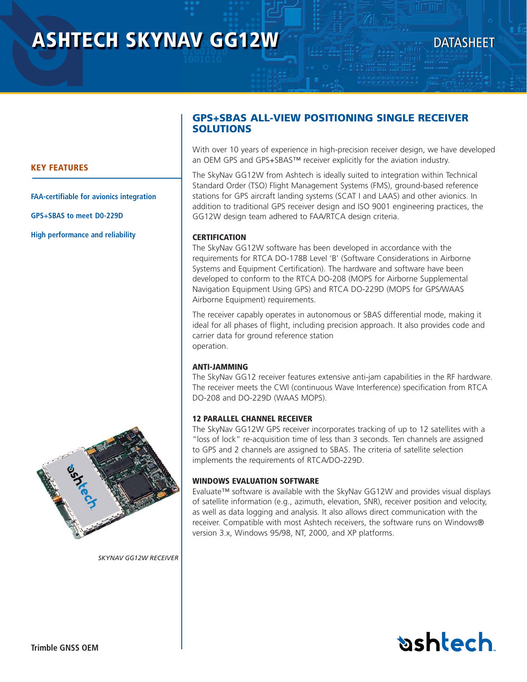# **ASHTECH SKYNAV GG12W**

# **DATASHEET**

# **GPS+SBAS ALL-VIEW POSITIONING SINGLE RECEIVER SOLUTIONS**

With over 10 years of experience in high-precision receiver design, we have developed an OEM GPS and GPS+SBAS™ receiver explicitly for the aviation industry.

The SkyNav GG12W from Ashtech is ideally suited to integration within Technical Standard Order (TSO) Flight Management Systems (FMS), ground-based reference stations for GPS aircraft landing systems (SCAT I and LAAS) and other avionics. In addition to traditional GPS receiver design and ISO 9001 engineering practices, the GG12W design team adhered to FAA/RTCA design criteria.

# **CERTIFICATION**

The SkyNav GG12W software has been developed in accordance with the requirements for RTCA DO-178B Level 'B' (Software Considerations in Airborne Systems and Equipment Certification). The hardware and software have been developed to conform to the RTCA DO-208 (MOPS for Airborne Supplemental Navigation Equipment Using GPS) and RTCA DO-229D (MOPS for GPS/WAAS Airborne Equipment) requirements.

The receiver capably operates in autonomous or SBAS differential mode, making it ideal for all phases of flight, including precision approach. It also provides code and carrier data for ground reference station operation.

# **ANTI-JAMMING**

The SkyNav GG12 receiver features extensive anti-jam capabilities in the RF hardware. The receiver meets the CWI (continuous Wave Interference) specification from RTCA DO-208 and DO-229D (WAAS MOPS).

# **12 PARALLEL CHANNEL RECEIVER**

The SkyNav GG12W GPS receiver incorporates tracking of up to 12 satellites with a "loss of lock" re-acquisition time of less than 3 seconds. Ten channels are assigned to GPS and 2 channels are assigned to SBAS. The criteria of satellite selection implements the requirements of RTCA/DO-229D.

# **WINDOWS EVALUATION SOFTWARE**

Evaluate™ software is available with the SkyNav GG12W and provides visual displays of satellite information (e.g., azimuth, elevation, SNR), receiver position and velocity, as well as data logging and analysis. It also allows direct communication with the receiver. Compatible with most Ashtech receivers, the software runs on Windows® version 3.x, Windows 95/98, NT, 2000, and XP platforms.



**FAA-certifiable for avionics integration**

**GPS+SBAS to meet D0-229D**

**High performance and reliability** 



*SKYNAV GG12W RECEIVER*